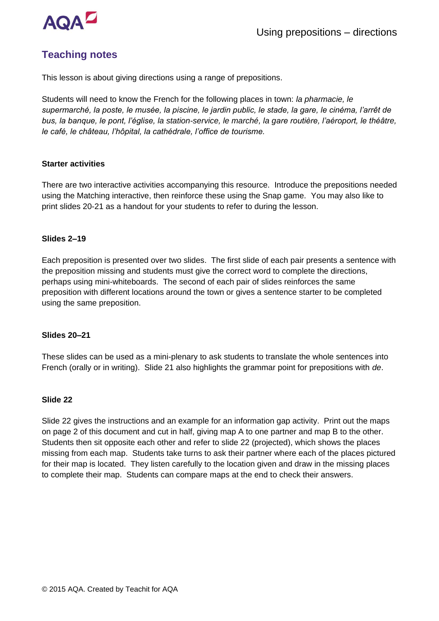

# **Teaching notes**

This lesson is about giving directions using a range of prepositions.

Students will need to know the French for the following places in town: *la pharmacie, le supermarché, la poste, le musée, la piscine, le jardin public, le stade, la gare, le cinéma, l'arrêt de bus, la banque, le pont, l'église, la station-service, le marché, la gare routière, l'aéroport, le théâtre, le café, le château, l'hôpital, la cathédrale, l'office de tourisme.*

## **Starter activities**

There are two interactive activities accompanying this resource. Introduce the prepositions needed using the Matching interactive, then reinforce these using the Snap game. You may also like to print slides 20-21 as a handout for your students to refer to during the lesson.

## **Slides 2–19**

Each preposition is presented over two slides. The first slide of each pair presents a sentence with the preposition missing and students must give the correct word to complete the directions, perhaps using mini-whiteboards. The second of each pair of slides reinforces the same preposition with different locations around the town or gives a sentence starter to be completed using the same preposition.

## **Slides 20–21**

These slides can be used as a mini-plenary to ask students to translate the whole sentences into French (orally or in writing). Slide 21 also highlights the grammar point for prepositions with *de*.

## **Slide 22**

Slide 22 gives the instructions and an example for an information gap activity. Print out the maps on page 2 of this document and cut in half, giving map A to one partner and map B to the other. Students then sit opposite each other and refer to slide 22 (projected), which shows the places missing from each map. Students take turns to ask their partner where each of the places pictured for their map is located. They listen carefully to the location given and draw in the missing places to complete their map. Students can compare maps at the end to check their answers.